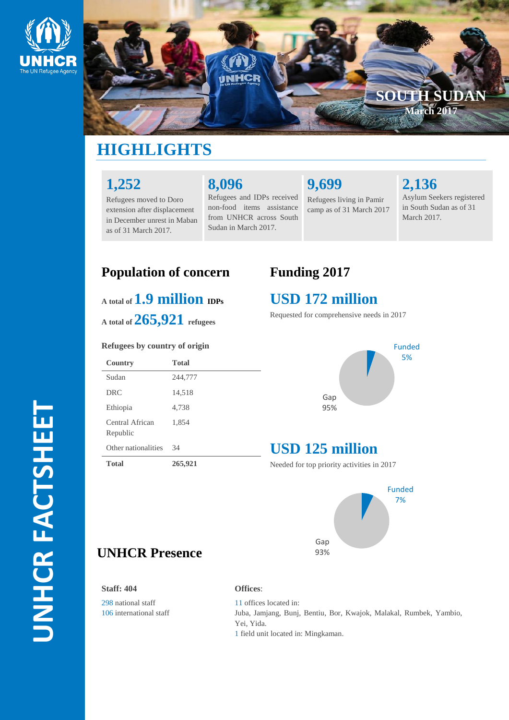



# **HIGHLIGHTS**

## **1,252**

Refugees moved to Doro extension after displacement in December unrest in Maban as of 31 March 2017.

# **8 ,096**

Refugees and IDPs received non -food items assistance from UNHCR across South Sudan in March 2017.

**9,699**

Refugees living in Pamir camp as of 31 March 2017 **2,136**

Asylum Seekers registered in South Sudan as of 31 March 2017.

## $\mathbf{A}$  total of  $\mathbf{1.9}$  **million**  $\mathbf{IDPs}$

#### **Refugees by country of origin**

| <b>Population of concern</b><br>$_{A\text{ total of}} 1.9$ million $_{\text{DPs}}$<br>A total of $265,921$ refugees |         | <b>Funding 2017</b><br><b>USD 172 mi</b><br>Requested for comprehen |
|---------------------------------------------------------------------------------------------------------------------|---------|---------------------------------------------------------------------|
|                                                                                                                     |         |                                                                     |
| Sudan                                                                                                               | 244,777 | Gap<br>95%                                                          |
| <b>DRC</b>                                                                                                          | 14,518  |                                                                     |
| Ethiopia                                                                                                            | 4,738   |                                                                     |
| Central African<br>Republic                                                                                         | 1,854   |                                                                     |
| Other nationalities                                                                                                 | 34      | <b>USD 125 mi</b>                                                   |
| <b>Total</b>                                                                                                        | 265,921 | Needed for top priority ac                                          |
| <b>UNHCR Presence</b>                                                                                               |         | Gap<br>93%                                                          |

## **USD 172 million**

Requested for comprehensive needs in 2017



# **USD 125 million**

Needed for top priority activities in 201 7



#### **Staff: 404**

298 national staff 106 international staff **Offices** :

11 offices located in: Juba, Jamjang, Bunj, Bentiu, Bor, Kwajok, Malakal, Rumbek, Yambio, Yei, Yida.

1 field unit located in: Mingkaman.

**UNHCR FACTSHEET** UNHCR FACTSHEET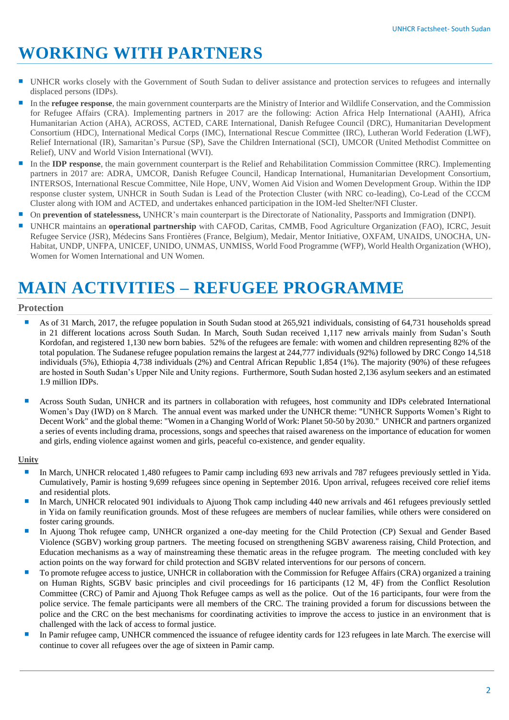# **WORKING WITH PARTNERS**

- UNHCR works closely with the Government of South Sudan to deliver assistance and protection services to refugees and internally displaced persons (IDPs).
- In the **refugee response**, the main government counterparts are the Ministry of Interior and Wildlife Conservation, and the Commission for Refugee Affairs (CRA). Implementing partners in 2017 are the following: Action Africa Help International (AAHI), Africa Humanitarian Action (AHA), ACROSS, ACTED, CARE International, Danish Refugee Council (DRC), Humanitarian Development Consortium (HDC), International Medical Corps (IMC), International Rescue Committee (IRC), Lutheran World Federation (LWF), Relief International (IR), Samaritan's Pursue (SP), Save the Children International (SCI), UMCOR (United Methodist Committee on Relief), UNV and World Vision International (WVI).
- In the **IDP response**, the main government counterpart is the Relief and Rehabilitation Commission Committee (RRC). Implementing partners in 2017 are: ADRA, UMCOR, Danish Refugee Council, Handicap International, Humanitarian Development Consortium, INTERSOS, International Rescue Committee, Nile Hope, UNV, Women Aid Vision and Women Development Group. Within the IDP response cluster system, UNHCR in South Sudan is Lead of the Protection Cluster (with NRC co-leading), Co-Lead of the CCCM Cluster along with IOM and ACTED, and undertakes enhanced participation in the IOM-led Shelter/NFI Cluster.
- On **prevention of statelessness,** UNHCR's main counterpart is the Directorate of Nationality, Passports and Immigration (DNPI).
- UNHCR maintains an **operational partnership** with CAFOD, Caritas, CMMB, Food Agriculture Organization (FAO), ICRC, Jesuit Refugee Service (JSR), Médecins Sans Frontières (France, Belgium), Medair, Mentor Initiative, OXFAM, UNAIDS, UNOCHA, UN-Habitat, UNDP, UNFPA, UNICEF, UNIDO, UNMAS, UNMISS, World Food Programme (WFP), World Health Organization (WHO), Women for Women International and UN Women.

# **MAIN ACTIVITIES – REFUGEE PROGRAMME**

### **Protection**

- As of 31 March, 2017, the refugee population in South Sudan stood at 265,921 individuals, consisting of 64,731 households spread in 21 different locations across South Sudan. In March, South Sudan received 1,117 new arrivals mainly from Sudan's South Kordofan, and registered 1,130 new born babies. 52% of the refugees are female: with women and children representing 82% of the total population. The Sudanese refugee population remains the largest at 244,777 individuals (92%) followed by DRC Congo 14,518 individuals (5%), Ethiopia 4,738 individuals (2%) and Central African Republic 1,854 (1%). The majority (90%) of these refugees are hosted in South Sudan's Upper Nile and Unity regions. Furthermore, South Sudan hosted 2,136 asylum seekers and an estimated 1.9 million IDPs.
- Across South Sudan, UNHCR and its partners in collaboration with refugees, host community and IDPs celebrated International Women's Day (IWD) on 8 March. The annual event was marked under the UNHCR theme: "UNHCR Supports Women's Right to Decent Work" and the global theme: "Women in a Changing World of Work: Planet 50-50 by 2030." UNHCR and partners organized a series of events including drama, processions, songs and speeches that raised awareness on the importance of education for women and girls, ending violence against women and girls, peaceful co-existence, and gender equality.

#### **Unity**

- In March, UNHCR relocated 1,480 refugees to Pamir camp including 693 new arrivals and 787 refugees previously settled in Yida. Cumulatively, Pamir is hosting 9,699 refugees since opening in September 2016. Upon arrival, refugees received core relief items and residential plots.
- In March, UNHCR relocated 901 individuals to Ajuong Thok camp including 440 new arrivals and 461 refugees previously settled in Yida on family reunification grounds. Most of these refugees are members of nuclear families, while others were considered on foster caring grounds.
- In Ajuong Thok refugee camp, UNHCR organized a one-day meeting for the Child Protection (CP) Sexual and Gender Based Violence (SGBV) working group partners. The meeting focused on strengthening SGBV awareness raising, Child Protection, and Education mechanisms as a way of mainstreaming these thematic areas in the refugee program. The meeting concluded with key action points on the way forward for child protection and SGBV related interventions for our persons of concern.
- To promote refugee access to justice, UNHCR in collaboration with the Commission for Refugee Affairs (CRA) organized a training on Human Rights, SGBV basic principles and civil proceedings for 16 participants (12 M, 4F) from the Conflict Resolution Committee (CRC) of Pamir and Ajuong Thok Refugee camps as well as the police. Out of the 16 participants, four were from the police service. The female participants were all members of the CRC. The training provided a forum for discussions between the police and the CRC on the best mechanisms for coordinating activities to improve the access to justice in an environment that is challenged with the lack of access to formal justice.
- In Pamir refugee camp, UNHCR commenced the issuance of refugee identity cards for 123 refugees in late March. The exercise will continue to cover all refugees over the age of sixteen in Pamir camp.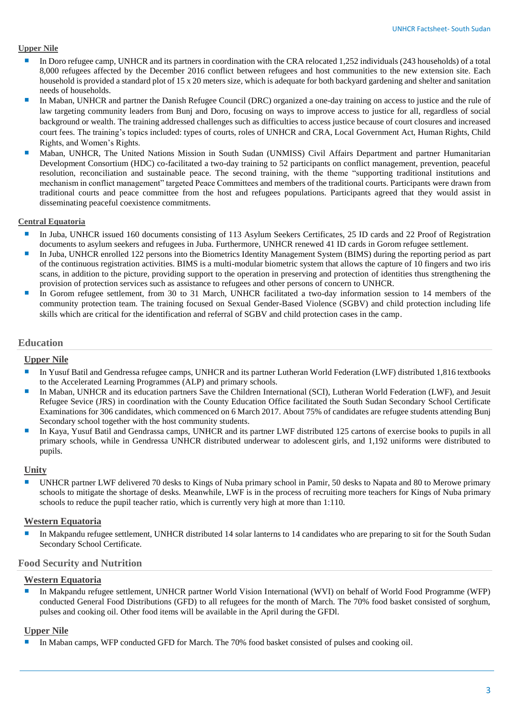#### **Upper Nile**

- In Doro refugee camp, UNHCR and its partners in coordination with the CRA relocated 1,252 individuals (243 households) of a total 8,000 refugees affected by the December 2016 conflict between refugees and host communities to the new extension site. Each household is provided a standard plot of 15 x 20 meters size, which is adequate for both backyard gardening and shelter and sanitation needs of households.
- In Maban, UNHCR and partner the Danish Refugee Council (DRC) organized a one-day training on access to justice and the rule of law targeting community leaders from Bunj and Doro, focusing on ways to improve access to justice for all, regardless of social background or wealth. The training addressed challenges such as difficulties to access justice because of court closures and increased court fees. The training's topics included: types of courts, roles of UNHCR and CRA, Local Government Act, Human Rights, Child Rights, and Women's Rights.
- **Maban, UNHCR, The United Nations Mission in South Sudan (UNMISS) Civil Affairs Department and partner Humanitarian** Development Consortium (HDC) co-facilitated a two-day training to 52 participants on conflict management, prevention, peaceful resolution, reconciliation and sustainable peace. The second training, with the theme "supporting traditional institutions and mechanism in conflict management" targeted Peace Committees and members of the traditional courts. Participants were drawn from traditional courts and peace committee from the host and refugees populations. Participants agreed that they would assist in disseminating peaceful coexistence commitments.

#### **Central Equatoria**

- In Juba, UNHCR issued 160 documents consisting of 113 Asylum Seekers Certificates, 25 ID cards and 22 Proof of Registration documents to asylum seekers and refugees in Juba. Furthermore, UNHCR renewed 41 ID cards in Gorom refugee settlement.
- In Juba, UNHCR enrolled 122 persons into the Biometrics Identity Management System (BIMS) during the reporting period as part of the continuous registration activities. BIMS is a multi-modular biometric system that allows the capture of 10 fingers and two iris scans, in addition to the picture, providing support to the operation in preserving and protection of identities thus strengthening the provision of protection services such as assistance to refugees and other persons of concern to UNHCR.
- In Gorom refugee settlement, from 30 to 31 March, UNHCR facilitated a two-day information session to 14 members of the community protection team. The training focused on Sexual Gender-Based Violence (SGBV) and child protection including life skills which are critical for the identification and referral of SGBV and child protection cases in the camp.

#### **Education**

#### **Upper Nile**

- In Yusuf Batil and Gendressa refugee camps, UNHCR and its partner Lutheran World Federation (LWF) distributed 1,816 textbooks to the Accelerated Learning Programmes (ALP) and primary schools.
- In Maban, UNHCR and its education partners Save the Children International (SCI), Lutheran World Federation (LWF), and Jesuit Refugee Sevice (JRS) in coordination with the County Education Office facilitated the South Sudan Secondary School Certificate Examinations for 306 candidates, which commenced on 6 March 2017. About 75% of candidates are refugee students attending Bunj Secondary school together with the host community students.
- In Kaya, Yusuf Batil and Gendrassa camps, UNHCR and its partner LWF distributed 125 cartons of exercise books to pupils in all primary schools, while in Gendressa UNHCR distributed underwear to adolescent girls, and 1,192 uniforms were distributed to pupils.

#### **Unity**

 UNHCR partner LWF delivered 70 desks to Kings of Nuba primary school in Pamir, 50 desks to Napata and 80 to Merowe primary schools to mitigate the shortage of desks. Meanwhile, LWF is in the process of recruiting more teachers for Kings of Nuba primary schools to reduce the pupil teacher ratio, which is currently very high at more than 1:110.

#### **Western Equatoria**

 In Makpandu refugee settlement, UNHCR distributed 14 solar lanterns to 14 candidates who are preparing to sit for the South Sudan Secondary School Certificate.

#### **Food Security and Nutrition**

#### **Western Equatoria**

 In Makpandu refugee settlement, UNHCR partner World Vision International (WVI) on behalf of World Food Programme (WFP) conducted General Food Distributions (GFD) to all refugees for the month of March. The 70% food basket consisted of sorghum, pulses and cooking oil. Other food items will be available in the April during the GFDl.

#### **Upper Nile**

In Maban camps, WFP conducted GFD for March. The 70% food basket consisted of pulses and cooking oil.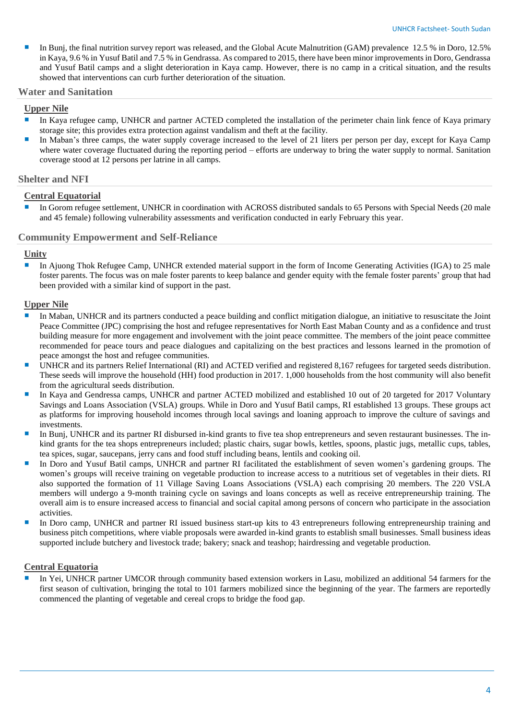In Bunj, the final nutrition survey report was released, and the Global Acute Malnutrition (GAM) prevalence 12.5 % in Doro, 12.5 % in Kaya, 9.6 % in Yusuf Batil and 7.5 % in Gendrassa. As compared to 2015, there have been minor improvements in Doro, Gendrassa and Yusuf Batil camps and a slight deterioration in Kaya camp. However, there is no camp in a critical situation, and the results showed that interventions can curb further deterioration of the situation.

#### **Water and Sanitation**

#### **Upper Nile**

- In Kaya refugee camp, UNHCR and partner ACTED completed the installation of the perimeter chain link fence of Kaya primary storage site; this provides extra protection against vandalism and theft at the facility.
- In Maban's three camps, the water supply coverage increased to the level of 21 liters per person per day, except for Kaya Camp where water coverage fluctuated during the reporting period – efforts are underway to bring the water supply to normal. Sanitation coverage stood at 12 persons per latrine in all camps.

#### **Shelter and NFI**

#### **Central Equatorial**

 In Gorom refugee settlement, UNHCR in coordination with ACROSS distributed sandals to 65 Persons with Special Needs (20 male and 45 female) following vulnerability assessments and verification conducted in early February this year.

#### **Community Empowerment and Self-Reliance**

#### **Unity**

In Ajuong Thok Refugee Camp, UNHCR extended material support in the form of Income Generating Activities (IGA) to 25 male foster parents. The focus was on male foster parents to keep balance and gender equity with the female foster parents' group that had been provided with a similar kind of support in the past.

#### **Upper Nile**

- In Maban, UNHCR and its partners conducted a peace building and conflict mitigation dialogue, an initiative to resuscitate the Joint Peace Committee (JPC) comprising the host and refugee representatives for North East Maban County and as a confidence and trust building measure for more engagement and involvement with the joint peace committee. The members of the joint peace committee recommended for peace tours and peace dialogues and capitalizing on the best practices and lessons learned in the promotion of peace amongst the host and refugee communities.
- UNHCR and its partners Relief International (RI) and ACTED verified and registered 8,167 refugees for targeted seeds distribution. These seeds will improve the household (HH) food production in 2017. 1,000 households from the host community will also benefit from the agricultural seeds distribution.
- In Kaya and Gendressa camps, UNHCR and partner ACTED mobilized and established 10 out of 20 targeted for 2017 Voluntary Savings and Loans Association (VSLA) groups. While in Doro and Yusuf Batil camps, RI established 13 groups. These groups act as platforms for improving household incomes through local savings and loaning approach to improve the culture of savings and investments.
- In Bunj, UNHCR and its partner RI disbursed in-kind grants to five tea shop entrepreneurs and seven restaurant businesses. The inkind grants for the tea shops entrepreneurs included; plastic chairs, sugar bowls, kettles, spoons, plastic jugs, metallic cups, tables, tea spices, sugar, saucepans, jerry cans and food stuff including beans, lentils and cooking oil.
- In Doro and Yusuf Batil camps, UNHCR and partner RI facilitated the establishment of seven women's gardening groups. The women's groups will receive training on vegetable production to increase access to a nutritious set of vegetables in their diets. RI also supported the formation of 11 Village Saving Loans Associations (VSLA) each comprising 20 members. The 220 VSLA members will undergo a 9-month training cycle on savings and loans concepts as well as receive entrepreneurship training. The overall aim is to ensure increased access to financial and social capital among persons of concern who participate in the association activities.
- In Doro camp, UNHCR and partner RI issued business start-up kits to 43 entrepreneurs following entrepreneurship training and business pitch competitions, where viable proposals were awarded in-kind grants to establish small businesses. Small business ideas supported include butchery and livestock trade; bakery; snack and teashop; hairdressing and vegetable production.

### **Central Equatoria**

 In Yei, UNHCR partner UMCOR through community based extension workers in Lasu, mobilized an additional 54 farmers for the first season of cultivation, bringing the total to 101 farmers mobilized since the beginning of the year. The farmers are reportedly commenced the planting of vegetable and cereal crops to bridge the food gap.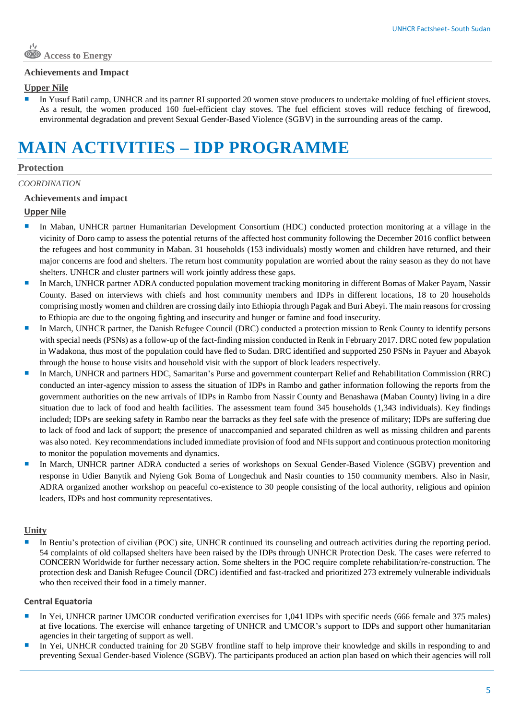#### **Achievements and Impact**

#### **Upper Nile**

 In Yusuf Batil camp, UNHCR and its partner RI supported 20 women stove producers to undertake molding of fuel efficient stoves. As a result, the women produced 160 fuel-efficient clay stoves. The fuel efficient stoves will reduce fetching of firewood, environmental degradation and prevent Sexual Gender-Based Violence (SGBV) in the surrounding areas of the camp.

# **MAIN ACTIVITIES – IDP PROGRAMME**

#### **Protection**

#### *COORDINATION*

#### **Achievements and impact**

#### **Upper Nile**

- In Maban, UNHCR partner Humanitarian Development Consortium (HDC) conducted protection monitoring at a village in the vicinity of Doro camp to assess the potential returns of the affected host community following the December 2016 conflict between the refugees and host community in Maban. 31 households (153 individuals) mostly women and children have returned, and their major concerns are food and shelters. The return host community population are worried about the rainy season as they do not have shelters. UNHCR and cluster partners will work jointly address these gaps.
- In March, UNHCR partner ADRA conducted population movement tracking monitoring in different Bomas of Maker Payam, Nassir County. Based on interviews with chiefs and host community members and IDPs in different locations, 18 to 20 households comprising mostly women and children are crossing daily into Ethiopia through Pagak and Buri Abeyi. The main reasons for crossing to Ethiopia are due to the ongoing fighting and insecurity and hunger or famine and food insecurity.
- In March, UNHCR partner, the Danish Refugee Council (DRC) conducted a protection mission to Renk County to identify persons with special needs (PSNs) as a follow-up of the fact-finding mission conducted in Renk in February 2017. DRC noted few population in Wadakona, thus most of the population could have fled to Sudan. DRC identified and supported 250 PSNs in Payuer and Abayok through the house to house visits and household visit with the support of block leaders respectively.
- In March, UNHCR and partners HDC, Samaritan's Purse and government counterpart Relief and Rehabilitation Commission (RRC) conducted an inter-agency mission to assess the situation of IDPs in Rambo and gather information following the reports from the government authorities on the new arrivals of IDPs in Rambo from Nassir County and Benashawa (Maban County) living in a dire situation due to lack of food and health facilities. The assessment team found 345 households (1,343 individuals). Key findings included; IDPs are seeking safety in Rambo near the barracks as they feel safe with the presence of military; IDPs are suffering due to lack of food and lack of support; the presence of unaccompanied and separated children as well as missing children and parents was also noted. Key recommendations included immediate provision of food and NFIs support and continuous protection monitoring to monitor the population movements and dynamics.
- In March, UNHCR partner ADRA conducted a series of workshops on Sexual Gender-Based Violence (SGBV) prevention and response in Udier Banytik and Nyieng Gok Boma of Longechuk and Nasir counties to 150 community members. Also in Nasir, ADRA organized another workshop on peaceful co-existence to 30 people consisting of the local authority, religious and opinion leaders, IDPs and host community representatives.

#### **Unity**

 In Bentiu's protection of civilian (POC) site, UNHCR continued its counseling and outreach activities during the reporting period. 54 complaints of old collapsed shelters have been raised by the IDPs through UNHCR Protection Desk. The cases were referred to CONCERN Worldwide for further necessary action. Some shelters in the POC require complete rehabilitation/re-construction. The protection desk and Danish Refugee Council (DRC) identified and fast-tracked and prioritized 273 extremely vulnerable individuals who then received their food in a timely manner.

#### **Central Equatoria**

- In Yei, UNHCR partner UMCOR conducted verification exercises for 1,041 IDPs with specific needs (666 female and 375 males) at five locations. The exercise will enhance targeting of UNHCR and UMCOR's support to IDPs and support other humanitarian agencies in their targeting of support as well.
- In Yei, UNHCR conducted training for 20 SGBV frontline staff to help improve their knowledge and skills in responding to and preventing Sexual Gender-based Violence (SGBV). The participants produced an action plan based on which their agencies will roll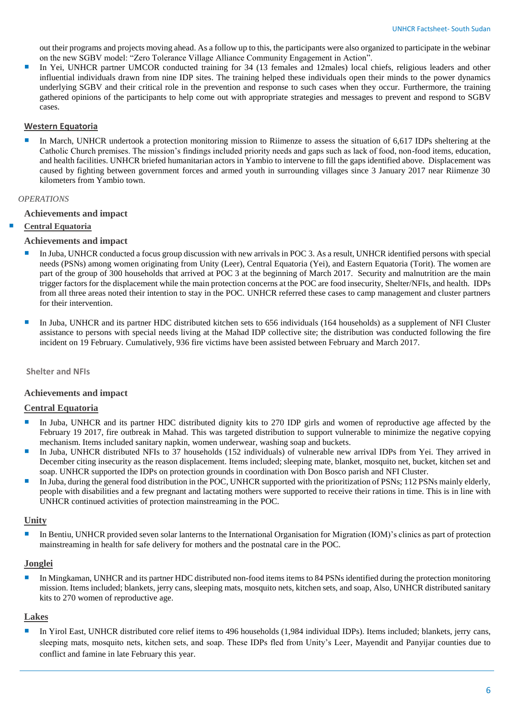out their programs and projects moving ahead. As a follow up to this, the participants were also organized to participate in the webinar on the new SGBV model: "Zero Tolerance Village Alliance Community Engagement in Action".

In Yei, UNHCR partner UMCOR conducted training for 34 (13 females and 12males) local chiefs, religious leaders and other influential individuals drawn from nine IDP sites. The training helped these individuals open their minds to the power dynamics underlying SGBV and their critical role in the prevention and response to such cases when they occur. Furthermore, the training gathered opinions of the participants to help come out with appropriate strategies and messages to prevent and respond to SGBV cases.

#### **Western Equatoria**

 In March, UNHCR undertook a protection monitoring mission to Riimenze to assess the situation of 6,617 IDPs sheltering at the Catholic Church premises. The mission's findings included priority needs and gaps such as lack of food, non-food items, education, and health facilities. UNHCR briefed humanitarian actors in Yambio to intervene to fill the gaps identified above. Displacement was caused by fighting between government forces and armed youth in surrounding villages since 3 January 2017 near Riimenze 30 kilometers from Yambio town.

#### *OPERATIONS*

#### **Achievements and impact**

#### **Central Equatoria**

#### **Achievements and impact**

- In Juba, UNHCR conducted a focus group discussion with new arrivals in POC 3. As a result, UNHCR identified persons with special needs (PSNs) among women originating from Unity (Leer), Central Equatoria (Yei), and Eastern Equatoria (Torit). The women are part of the group of 300 households that arrived at POC 3 at the beginning of March 2017. Security and malnutrition are the main trigger factors for the displacement while the main protection concerns at the POC are food insecurity, Shelter/NFIs, and health. IDPs from all three areas noted their intention to stay in the POC. UNHCR referred these cases to camp management and cluster partners for their intervention.
- In Juba, UNHCR and its partner HDC distributed kitchen sets to 656 individuals (164 households) as a supplement of NFI Cluster assistance to persons with special needs living at the Mahad IDP collective site; the distribution was conducted following the fire incident on 19 February. Cumulatively, 936 fire victims have been assisted between February and March 2017.

**Shelter and NFIs**

#### **Achievements and impact**

### **Central Equatoria**

- In Juba, UNHCR and its partner HDC distributed dignity kits to 270 IDP girls and women of reproductive age affected by the February 19 2017, fire outbreak in Mahad. This was targeted distribution to support vulnerable to minimize the negative copying mechanism. Items included sanitary napkin, women underwear, washing soap and buckets.
- In Juba, UNHCR distributed NFIs to 37 households (152 individuals) of vulnerable new arrival IDPs from Yei. They arrived in December citing insecurity as the reason displacement. Items included; sleeping mate, blanket, mosquito net, bucket, kitchen set and soap. UNHCR supported the IDPs on protection grounds in coordination with Don Bosco parish and NFI Cluster.
- In Juba, during the general food distribution in the POC, UNHCR supported with the prioritization of PSNs; 112 PSNs mainly elderly, people with disabilities and a few pregnant and lactating mothers were supported to receive their rations in time. This is in line with UNHCR continued activities of protection mainstreaming in the POC.

#### **Unity**

 In Bentiu, UNHCR provided seven solar lanterns to the International Organisation for Migration (IOM)'s clinics as part of protection mainstreaming in health for safe delivery for mothers and the postnatal care in the POC.

#### **Jonglei**

 In Mingkaman, UNHCR and its partner HDC distributed non-food items items to 84 PSNs identified during the protection monitoring mission. Items included; blankets, jerry cans, sleeping mats, mosquito nets, kitchen sets, and soap, Also, UNHCR distributed sanitary kits to 270 women of reproductive age.

#### **Lakes**

 In Yirol East, UNHCR distributed core relief items to 496 households (1,984 individual IDPs). Items included; blankets, jerry cans, sleeping mats, mosquito nets, kitchen sets, and soap. These IDPs fled from Unity's Leer, Mayendit and Panyijar counties due to conflict and famine in late February this year.